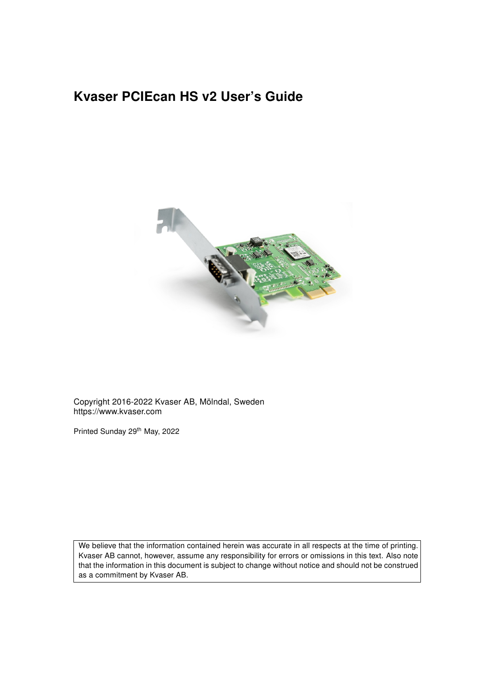## Kvaser PCIEcan HS v2 User's Guide



Copyright 2016-2022 Kvaser AB, Mölndal, Sweden https://www.kvaser.com

Printed Sunday 29<sup>th</sup> May, 2022

We believe that the information contained herein was accurate in all respects at the time of printing. Kvaser AB cannot, however, assume any responsibility for errors or omissions in this text. Also note that the information in this document is subject to change without notice and should not be construed as a commitment by Kvaser AB.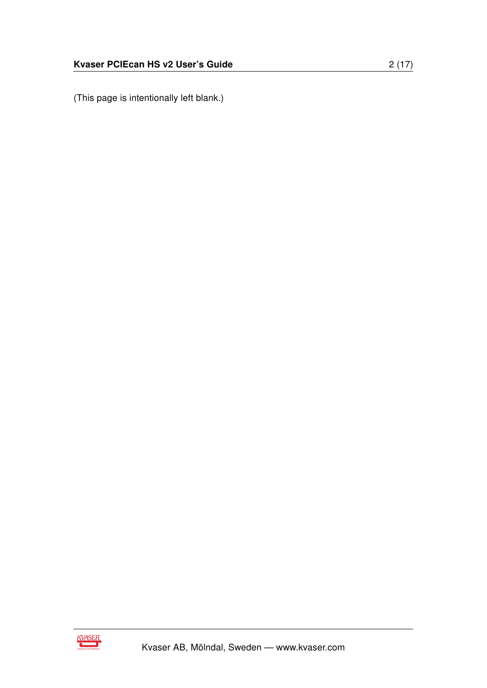(This page is intentionally left blank.)

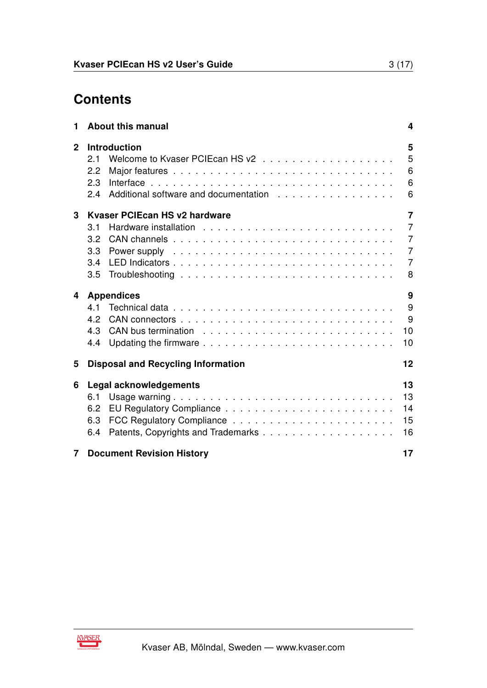# **Contents**

| 1.             |                                                 | <b>About this manual</b><br>4             |                |  |  |  |
|----------------|-------------------------------------------------|-------------------------------------------|----------------|--|--|--|
| $\overline{2}$ |                                                 | <b>Introduction</b>                       | 5              |  |  |  |
|                | 2.1                                             |                                           | 5              |  |  |  |
|                | $2.2\phantom{0}$                                |                                           | 6              |  |  |  |
|                | 2.3                                             |                                           | 6              |  |  |  |
|                | 2.4                                             | Additional software and documentation     | 6              |  |  |  |
| 3              | $\overline{7}$<br>Kvaser PCIEcan HS v2 hardware |                                           |                |  |  |  |
|                | 3.1                                             |                                           | $\overline{7}$ |  |  |  |
|                | 3.2                                             |                                           | $\overline{7}$ |  |  |  |
|                | 3.3                                             |                                           | $\overline{7}$ |  |  |  |
|                | 3.4                                             |                                           | $\overline{7}$ |  |  |  |
|                | 3.5                                             |                                           | 8              |  |  |  |
| 4              | 9<br><b>Appendices</b>                          |                                           |                |  |  |  |
|                | 4.1                                             |                                           | 9              |  |  |  |
|                | 4.2                                             |                                           | 9              |  |  |  |
|                | 4.3                                             |                                           | 10             |  |  |  |
|                | 4.4                                             |                                           | 10             |  |  |  |
| 5              |                                                 | <b>Disposal and Recycling Information</b> | 12             |  |  |  |
| 6              |                                                 | <b>Legal acknowledgements</b>             | 13             |  |  |  |
|                | 6.1                                             |                                           | 13             |  |  |  |
|                | 6.2                                             |                                           | 14             |  |  |  |
|                | 6.3                                             |                                           | 15             |  |  |  |
|                | 6.4                                             |                                           | 16             |  |  |  |
| $\overline{7}$ |                                                 | <b>Document Revision History</b>          | 17             |  |  |  |

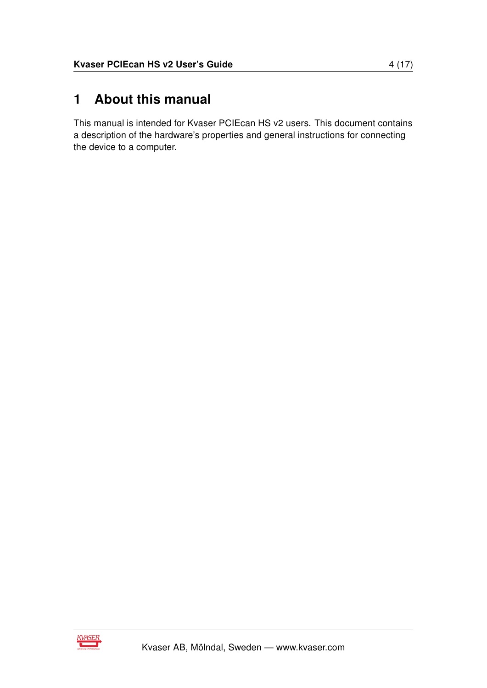# <span id="page-3-0"></span>1 About this manual

This manual is intended for Kvaser PCIEcan HS v2 users. This document contains a description of the hardware's properties and general instructions for connecting the device to a computer.

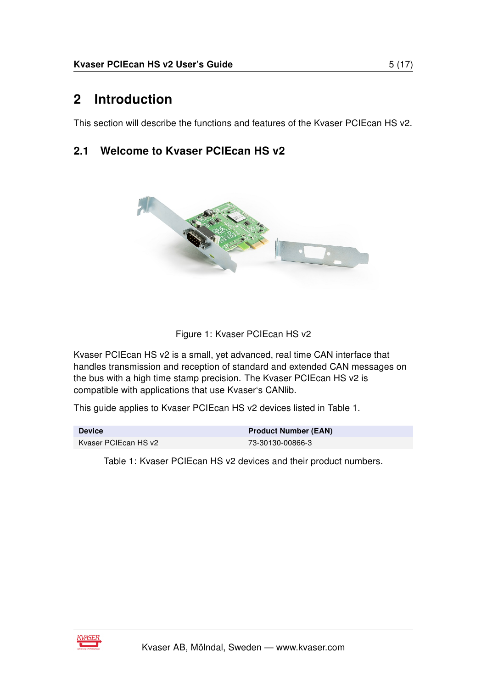## <span id="page-4-0"></span>2 Introduction

This section will describe the functions and features of the Kvaser PCIEcan HS v2.

#### <span id="page-4-1"></span>2.1 Welcome to Kvaser PCIEcan HS v2



Figure 1: Kvaser PCIEcan HS v2

Kvaser PCIEcan HS v2 is a small, yet advanced, real time CAN interface that handles transmission and reception of standard and extended CAN messages on the bus with a high time stamp precision. The Kvaser PCIEcan HS v2 is compatible with applications that use Kvaser's CANlib.

This guide applies to Kvaser PCIEcan HS v2 devices listed in [Table 1.](#page-4-2)

| <b>Device</b>        | <b>Product Number (EAN)</b> |
|----------------------|-----------------------------|
| Kvaser PCIEcan HS v2 | 73-30130-00866-3            |

<span id="page-4-2"></span>Table 1: Kvaser PCIEcan HS v2 devices and their product numbers.

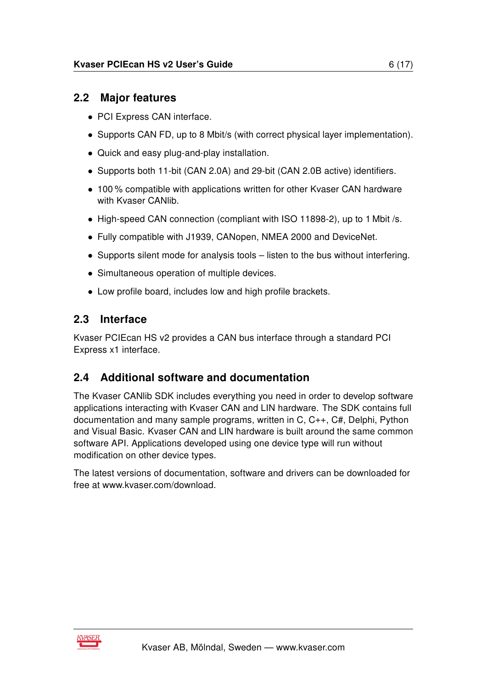#### <span id="page-5-0"></span>2.2 Major features

- PCI Express CAN interface.
- Supports CAN FD, up to 8 Mbit/s (with correct physical layer implementation).
- Quick and easy plug-and-play installation.
- Supports both 11-bit (CAN 2.0A) and 29-bit (CAN 2.0B active) identifiers.
- 100 % compatible with applications written for other Kvaser CAN hardware with Kvaser CANlib.
- High-speed CAN connection (compliant with ISO 11898-2), up to 1 Mbit /s.
- Fully compatible with J1939, CANopen, NMEA 2000 and DeviceNet.
- Supports silent mode for analysis tools listen to the bus without interfering.
- Simultaneous operation of multiple devices.
- Low profile board, includes low and high profile brackets.

#### <span id="page-5-1"></span>2.3 Interface

Kvaser PCIEcan HS v2 provides a CAN bus interface through a standard PCI Express x1 interface.

### <span id="page-5-2"></span>2.4 Additional software and documentation

The Kvaser CANlib SDK includes everything you need in order to develop software applications interacting with Kvaser CAN and LIN hardware. The SDK contains full documentation and many sample programs, written in C, C++, C#, Delphi, Python and Visual Basic. Kvaser CAN and LIN hardware is built around the same common software API. Applications developed using one device type will run without modification on other device types.

The latest versions of documentation, software and drivers can be downloaded for free at [www.kvaser.com/download.](https://www.kvaser.com/download/)

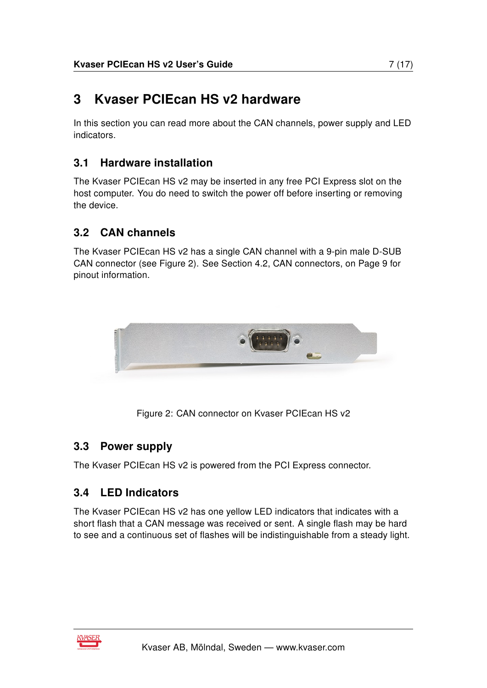# <span id="page-6-0"></span>3 Kvaser PCIEcan HS v2 hardware

In this section you can read more about the CAN channels, power supply and LED indicators.

### <span id="page-6-1"></span>3.1 Hardware installation

The Kvaser PCIEcan HS v2 may be inserted in any free PCI Express slot on the host computer. You do need to switch the power off before inserting or removing the device.

### <span id="page-6-2"></span>3.2 CAN channels

The Kvaser PCIEcan HS v2 has a single CAN channel with a 9-pin male D-SUB CAN connector (see [Figure 2\)](#page-6-5). See [Section 4.2, CAN connectors, on Page 9](#page-8-2) for pinout information.



<span id="page-6-5"></span>Figure 2: CAN connector on Kvaser PCIEcan HS v2

#### <span id="page-6-3"></span>3.3 Power supply

The Kvaser PCIEcan HS v2 is powered from the PCI Express connector.

### <span id="page-6-4"></span>3.4 LED Indicators

The Kvaser PCIEcan HS v2 has one yellow LED indicators that indicates with a short flash that a CAN message was received or sent. A single flash may be hard to see and a continuous set of flashes will be indistinguishable from a steady light.

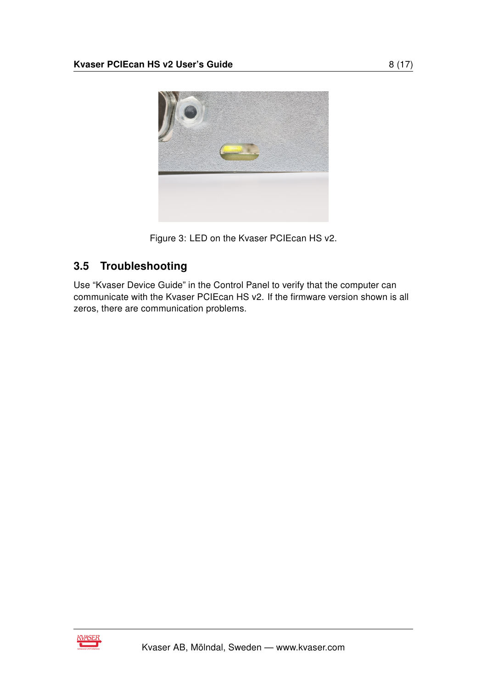

Figure 3: LED on the Kvaser PCIEcan HS v2.

## <span id="page-7-0"></span>3.5 Troubleshooting

Use "Kvaser Device Guide" in the Control Panel to verify that the computer can communicate with the Kvaser PCIEcan HS v2. If the firmware version shown is all zeros, there are communication problems.

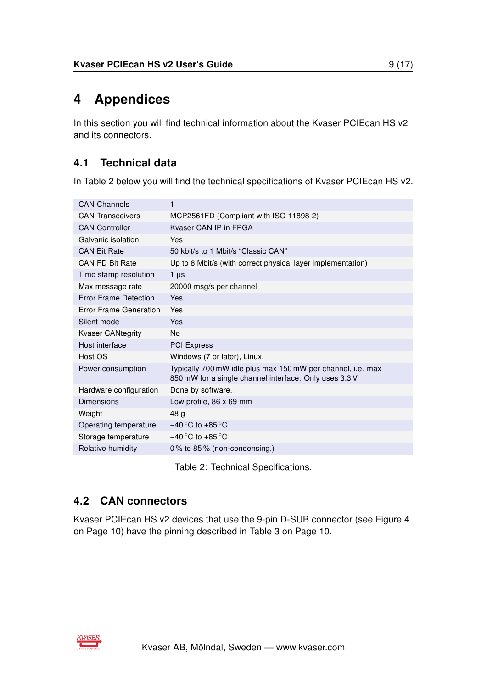# <span id="page-8-0"></span>4 Appendices

In this section you will find technical information about the Kvaser PCIEcan HS v2 and its connectors.

## <span id="page-8-1"></span>4.1 Technical data

In [Table 2](#page-8-3) below you will find the technical specifications of Kvaser PCIEcan HS v2.

| <b>CAN Channels</b>      | 1                                                                                                                      |  |  |
|--------------------------|------------------------------------------------------------------------------------------------------------------------|--|--|
| <b>CAN Transceivers</b>  | MCP2561FD (Compliant with ISO 11898-2)                                                                                 |  |  |
| <b>CAN Controller</b>    | Kvaser CAN IP in FPGA                                                                                                  |  |  |
| Galvanic isolation       | Yes                                                                                                                    |  |  |
| <b>CAN Bit Rate</b>      | 50 kbit/s to 1 Mbit/s "Classic CAN"                                                                                    |  |  |
| CAN FD Bit Rate          | Up to 8 Mbit/s (with correct physical layer implementation)                                                            |  |  |
| Time stamp resolution    | $1 \mu s$                                                                                                              |  |  |
| Max message rate         | 20000 msg/s per channel                                                                                                |  |  |
| Error Frame Detection    | Yes                                                                                                                    |  |  |
| Error Frame Generation   | Yes                                                                                                                    |  |  |
| Silent mode              | Yes                                                                                                                    |  |  |
| <b>Kvaser CANtegrity</b> | No                                                                                                                     |  |  |
| Host interface           | <b>PCI Express</b>                                                                                                     |  |  |
| Host OS                  | Windows (7 or later), Linux.                                                                                           |  |  |
| Power consumption        | Typically 700 mW idle plus max 150 mW per channel, i.e. max<br>850 mW for a single channel interface. Only uses 3.3 V. |  |  |
| Hardware configuration   | Done by software.                                                                                                      |  |  |
| Dimensions               | Low profile, 86 x 69 mm                                                                                                |  |  |
| Weight                   | 48 <sub>g</sub>                                                                                                        |  |  |
| Operating temperature    | $-40\,^{\circ}$ C to +85 $^{\circ}$ C                                                                                  |  |  |
| Storage temperature      | $-40\,^{\circ}$ C to $+85\,^{\circ}$ C                                                                                 |  |  |
| Relative humidity        | 0% to 85% (non-condensing.)                                                                                            |  |  |
|                          |                                                                                                                        |  |  |

<span id="page-8-3"></span>Table 2: Technical Specifications.

### <span id="page-8-2"></span>4.2 CAN connectors

Kvaser PCIEcan HS v2 devices that use the 9-pin D-SUB connector (see [Figure 4](#page-9-2) [on Page 10\)](#page-9-2) have the pinning described in [Table 3 on Page 10.](#page-9-3)

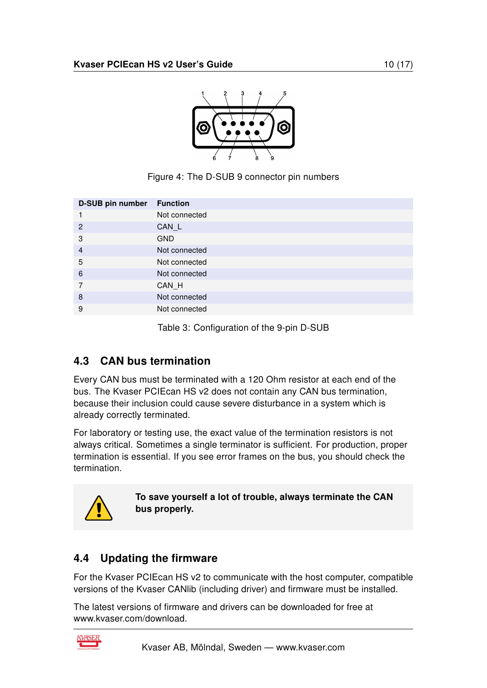

<span id="page-9-2"></span>Figure 4: The D-SUB 9 connector pin numbers

| D-SUB pin number | <b>Function</b> |
|------------------|-----------------|
|                  | Not connected   |
| 2                | $CAN_L$         |
| 3                | <b>GND</b>      |
| $\overline{4}$   | Not connected   |
| 5                | Not connected   |
| 6                | Not connected   |
|                  | CAN H           |
| 8                | Not connected   |
| 9                | Not connected   |
|                  |                 |

<span id="page-9-3"></span>Table 3: Configuration of the 9-pin D-SUB

### <span id="page-9-0"></span>4.3 CAN bus termination

Every CAN bus must be terminated with a 120 Ohm resistor at each end of the bus. The Kvaser PCIEcan HS v2 does not contain any CAN bus termination, because their inclusion could cause severe disturbance in a system which is already correctly terminated.

For laboratory or testing use, the exact value of the termination resistors is not always critical. Sometimes a single terminator is sufficient. For production, proper termination is essential. If you see error frames on the bus, you should check the termination.



To save yourself a lot of trouble, always terminate the CAN bus properly.

### <span id="page-9-1"></span>4.4 Updating the firmware

For the Kvaser PCIEcan HS v2 to communicate with the host computer, compatible versions of the Kvaser CANlib (including driver) and firmware must be installed.

The latest versions of firmware and drivers can be downloaded for free at [www.kvaser.com/download.](https://www.kvaser.com/download/)

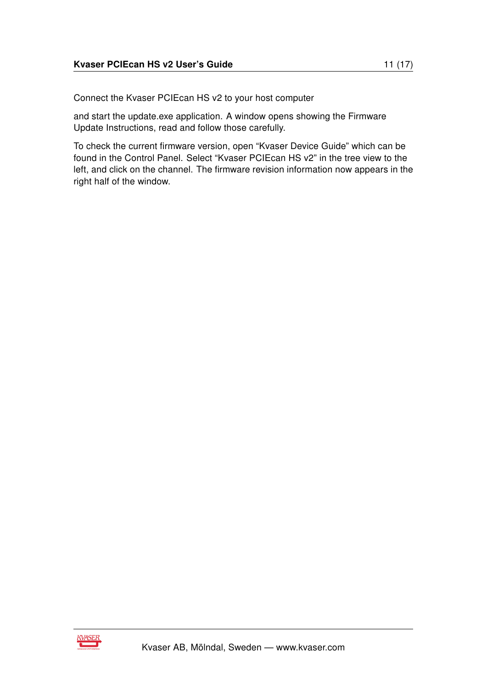Connect the Kvaser PCIEcan HS v2 to your host computer

and start the update.exe application. A window opens showing the Firmware Update Instructions, read and follow those carefully.

To check the current firmware version, open "Kvaser Device Guide" which can be found in the Control Panel. Select "Kvaser PCIEcan HS v2" in the tree view to the left, and click on the channel. The firmware revision information now appears in the right half of the window.

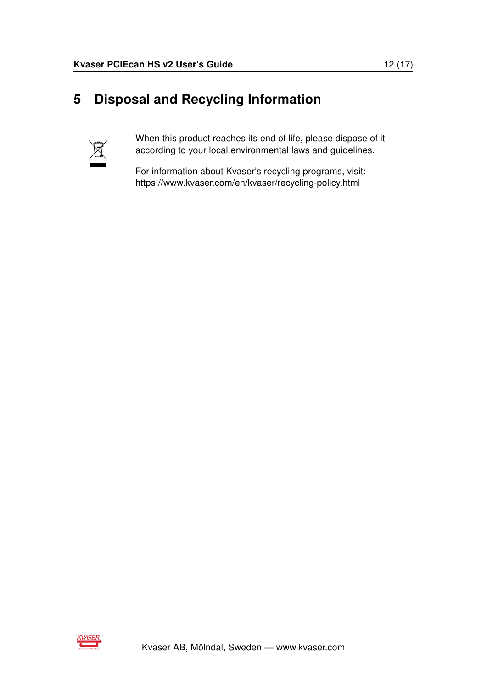# <span id="page-11-0"></span>5 Disposal and Recycling Information



When this product reaches its end of life, please dispose of it according to your local environmental laws and guidelines.

For information about Kvaser's recycling programs, visit: <https://www.kvaser.com/en/kvaser/recycling-policy.html>

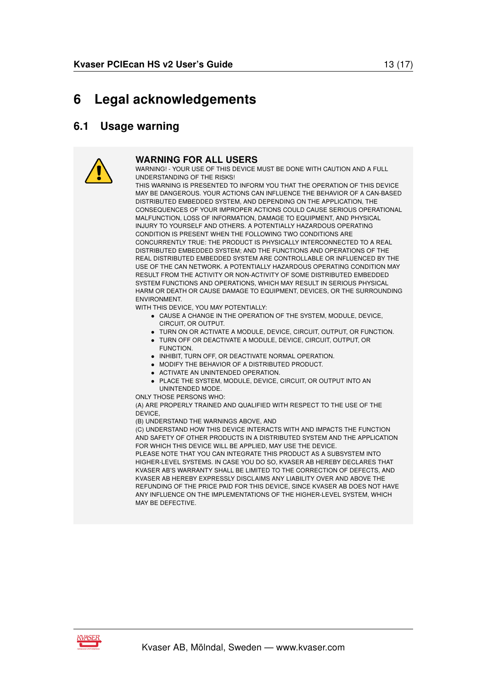## <span id="page-12-0"></span>6 Legal acknowledgements

#### <span id="page-12-1"></span>6.1 Usage warning



#### WARNING FOR ALL USERS

WARNING! - YOUR USE OF THIS DEVICE MUST BE DONE WITH CAUTION AND A FULL UNDERSTANDING OF THE RISKS!

THIS WARNING IS PRESENTED TO INFORM YOU THAT THE OPERATION OF THIS DEVICE MAY BE DANGEROUS. YOUR ACTIONS CAN INFLUENCE THE BEHAVIOR OF A CAN-BASED DISTRIBUTED EMBEDDED SYSTEM, AND DEPENDING ON THE APPLICATION, THE CONSEQUENCES OF YOUR IMPROPER ACTIONS COULD CAUSE SERIOUS OPERATIONAL MALFUNCTION, LOSS OF INFORMATION, DAMAGE TO EQUIPMENT, AND PHYSICAL INJURY TO YOURSELF AND OTHERS. A POTENTIALLY HAZARDOUS OPERATING CONDITION IS PRESENT WHEN THE FOLLOWING TWO CONDITIONS ARE CONCURRENTLY TRUE: THE PRODUCT IS PHYSICALLY INTERCONNECTED TO A REAL DISTRIBUTED EMBEDDED SYSTEM; AND THE FUNCTIONS AND OPERATIONS OF THE REAL DISTRIBUTED EMBEDDED SYSTEM ARE CONTROLLABLE OR INFLUENCED BY THE USE OF THE CAN NETWORK. A POTENTIALLY HAZARDOUS OPERATING CONDITION MAY RESULT FROM THE ACTIVITY OR NON-ACTIVITY OF SOME DISTRIBUTED EMBEDDED SYSTEM FUNCTIONS AND OPERATIONS, WHICH MAY RESULT IN SERIOUS PHYSICAL HARM OR DEATH OR CAUSE DAMAGE TO EQUIPMENT, DEVICES, OR THE SURROUNDING ENVIRONMENT.

WITH THIS DEVICE, YOU MAY POTENTIALLY:

- CAUSE A CHANGE IN THE OPERATION OF THE SYSTEM, MODULE, DEVICE, CIRCUIT, OR OUTPUT.
- TURN ON OR ACTIVATE A MODULE, DEVICE, CIRCUIT, OUTPUT, OR FUNCTION.
- TURN OFF OR DEACTIVATE A MODULE, DEVICE, CIRCUIT, OUTPUT, OR FUNCTION.
- INHIBIT, TURN OFF, OR DEACTIVATE NORMAL OPERATION.
- MODIFY THE BEHAVIOR OF A DISTRIBUTED PRODUCT.
- ACTIVATE AN UNINTENDED OPERATION.
- PLACE THE SYSTEM, MODULE, DEVICE, CIRCUIT, OR OUTPUT INTO AN UNINTENDED MODE.

ONLY THOSE PERSONS WHO:

(A) ARE PROPERLY TRAINED AND QUALIFIED WITH RESPECT TO THE USE OF THE DEVICE,

(B) UNDERSTAND THE WARNINGS ABOVE, AND

(C) UNDERSTAND HOW THIS DEVICE INTERACTS WITH AND IMPACTS THE FUNCTION AND SAFETY OF OTHER PRODUCTS IN A DISTRIBUTED SYSTEM AND THE APPLICATION FOR WHICH THIS DEVICE WILL BE APPLIED, MAY USE THE DEVICE.

PLEASE NOTE THAT YOU CAN INTEGRATE THIS PRODUCT AS A SUBSYSTEM INTO HIGHER-LEVEL SYSTEMS. IN CASE YOU DO SO, KVASER AB HEREBY DECLARES THAT KVASER AB'S WARRANTY SHALL BE LIMITED TO THE CORRECTION OF DEFECTS, AND KVASER AB HEREBY EXPRESSLY DISCLAIMS ANY LIABILITY OVER AND ABOVE THE REFUNDING OF THE PRICE PAID FOR THIS DEVICE, SINCE KVASER AB DOES NOT HAVE ANY INFLUENCE ON THE IMPLEMENTATIONS OF THE HIGHER-LEVEL SYSTEM, WHICH MAY BE DEFECTIVE.

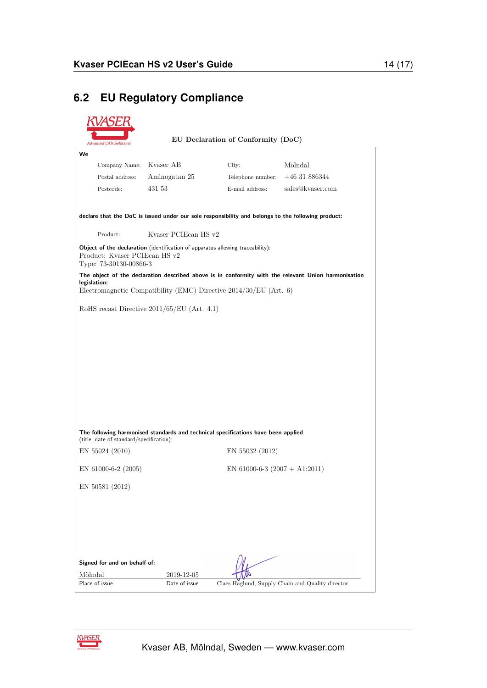## <span id="page-13-0"></span>6.2 EU Regulatory Compliance

| EU Declaration of Conformity (DoC)<br><b>Advanced CAN Solutions</b> |                                                         |                                                                                |                                                                                                    |                                                                                                      |
|---------------------------------------------------------------------|---------------------------------------------------------|--------------------------------------------------------------------------------|----------------------------------------------------------------------------------------------------|------------------------------------------------------------------------------------------------------|
| We                                                                  |                                                         |                                                                                |                                                                                                    |                                                                                                      |
|                                                                     | Company Name:                                           | Kvaser AB                                                                      | City:                                                                                              | Mölndal                                                                                              |
|                                                                     | Postal address:                                         | Aminogatan 25                                                                  | Telephone number:                                                                                  | $+46$ 31 886344                                                                                      |
|                                                                     | Postcode:                                               | 431 53                                                                         | E-mail address:                                                                                    | sales@kvaser.com                                                                                     |
|                                                                     |                                                         |                                                                                | declare that the DoC is issued under our sole responsibility and belongs to the following product: |                                                                                                      |
|                                                                     | Product:                                                | Kvaser PCIEcan HS v2                                                           |                                                                                                    |                                                                                                      |
|                                                                     | Product: Kvaser PCIEcan HS v2<br>Type: 73-30130-00866-3 | Object of the declaration (identification of apparatus allowing traceability): |                                                                                                    |                                                                                                      |
| legislation:                                                        |                                                         |                                                                                |                                                                                                    | The object of the declaration described above is in conformity with the relevant Union harmonisation |
|                                                                     |                                                         |                                                                                | Electromagnetic Compatibility (EMC) Directive 2014/30/EU (Art. 6)                                  |                                                                                                      |
|                                                                     | (title, date of standard/specification):                |                                                                                | The following harmonised standards and technical specifications have been applied                  |                                                                                                      |
|                                                                     | EN 55024 (2010)                                         |                                                                                | EN 55032 (2012)                                                                                    |                                                                                                      |
|                                                                     | EN 61000-6-2 (2005)                                     |                                                                                | EN 61000-6-3 $(2007 + A1:2011)$                                                                    |                                                                                                      |
|                                                                     | EN 50581 (2012)                                         |                                                                                |                                                                                                    |                                                                                                      |
|                                                                     |                                                         |                                                                                |                                                                                                    |                                                                                                      |

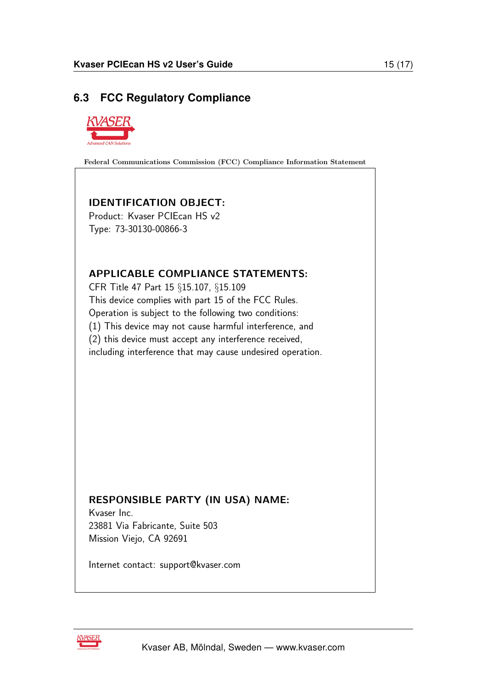#### <span id="page-14-0"></span>6.3 FCC Regulatory Compliance



Federal Communications Commission (FCC) Compliance Information Statement

#### IDENTIFICATION OBJECT:

Product: Kvaser PCIEcan HS v2 Type: 73-30130-00866-3

#### APPLICABLE COMPLIANCE STATEMENTS:

CFR Title 47 Part 15 §15.107, §15.109 This device complies with part 15 of the FCC Rules. Operation is subject to the following two conditions: (1) This device may not cause harmful interference, and (2) this device must accept any interference received, including interference that may cause undesired operation.

#### RESPONSIBLE PARTY (IN USA) NAME:

Kvaser Inc. 23881 Via Fabricante, Suite 503 Mission Viejo, CA 92691

Internet contact: support@kvaser.com

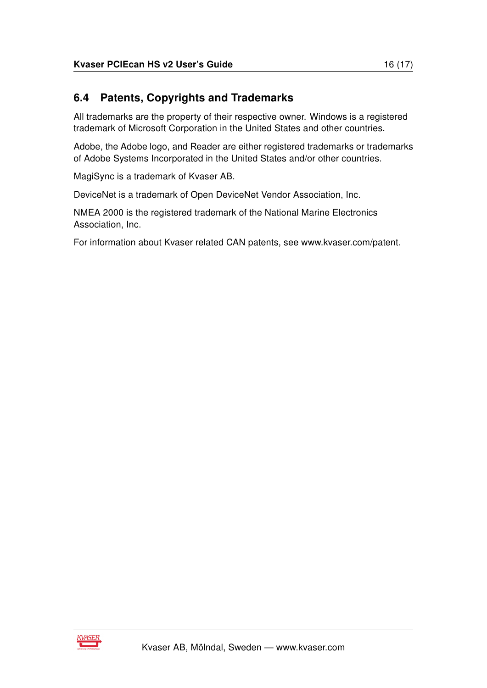#### <span id="page-15-0"></span>6.4 Patents, Copyrights and Trademarks

All trademarks are the property of their respective owner. Windows is a registered trademark of Microsoft Corporation in the United States and other countries.

Adobe, the Adobe logo, and Reader are either registered trademarks or trademarks of Adobe Systems Incorporated in the United States and/or other countries.

MagiSync is a trademark of Kvaser AB.

DeviceNet is a trademark of Open DeviceNet Vendor Association, Inc.

NMEA 2000 is the registered trademark of the National Marine Electronics Association, Inc.

For information about Kvaser related CAN patents, see [www.kvaser.com/patent.](https://www.kvaser.com/patent/)